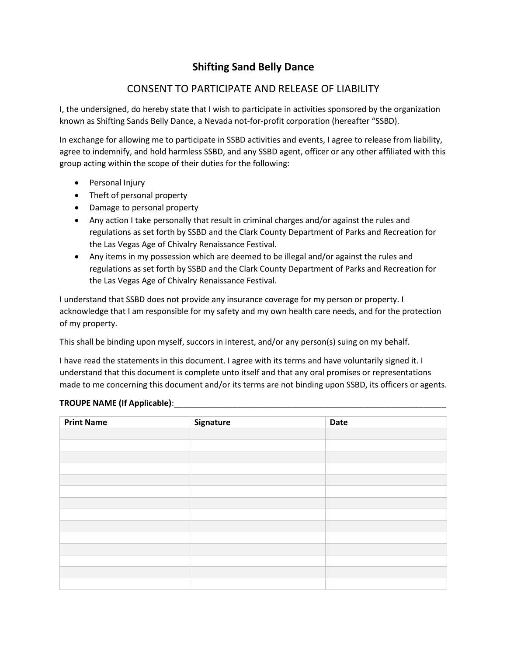## **Shifting Sand Belly Dance**

## CONSENT TO PARTICIPATE AND RELEASE OF LIABILITY

I, the undersigned, do hereby state that I wish to participate in activities sponsored by the organization known as Shifting Sands Belly Dance, a Nevada not-for-profit corporation (hereafter "SSBD).

In exchange for allowing me to participate in SSBD activities and events, I agree to release from liability, agree to indemnify, and hold harmless SSBD, and any SSBD agent, officer or any other affiliated with this group acting within the scope of their duties for the following:

- Personal Injury
- Theft of personal property
- Damage to personal property
- Any action I take personally that result in criminal charges and/or against the rules and regulations as set forth by SSBD and the Clark County Department of Parks and Recreation for the Las Vegas Age of Chivalry Renaissance Festival.
- Any items in my possession which are deemed to be illegal and/or against the rules and regulations as set forth by SSBD and the Clark County Department of Parks and Recreation for the Las Vegas Age of Chivalry Renaissance Festival.

I understand that SSBD does not provide any insurance coverage for my person or property. I acknowledge that I am responsible for my safety and my own health care needs, and for the protection of my property.

This shall be binding upon myself, succors in interest, and/or any person(s) suing on my behalf.

I have read the statements in this document. I agree with its terms and have voluntarily signed it. I understand that this document is complete unto itself and that any oral promises or representations made to me concerning this document and/or its terms are not binding upon SSBD, its officers or agents.

## **TROUPE NAME (If Applicable)**:\_\_\_\_\_\_\_\_\_\_\_\_\_\_\_\_\_\_\_\_\_\_\_\_\_\_\_\_\_\_\_\_\_\_\_\_\_\_\_\_\_\_\_\_\_\_\_\_\_\_\_\_\_\_\_\_\_\_\_\_

| <b>Print Name</b> | Signature | Date |
|-------------------|-----------|------|
|                   |           |      |
|                   |           |      |
|                   |           |      |
|                   |           |      |
|                   |           |      |
|                   |           |      |
|                   |           |      |
|                   |           |      |
|                   |           |      |
|                   |           |      |
|                   |           |      |
|                   |           |      |
|                   |           |      |
|                   |           |      |